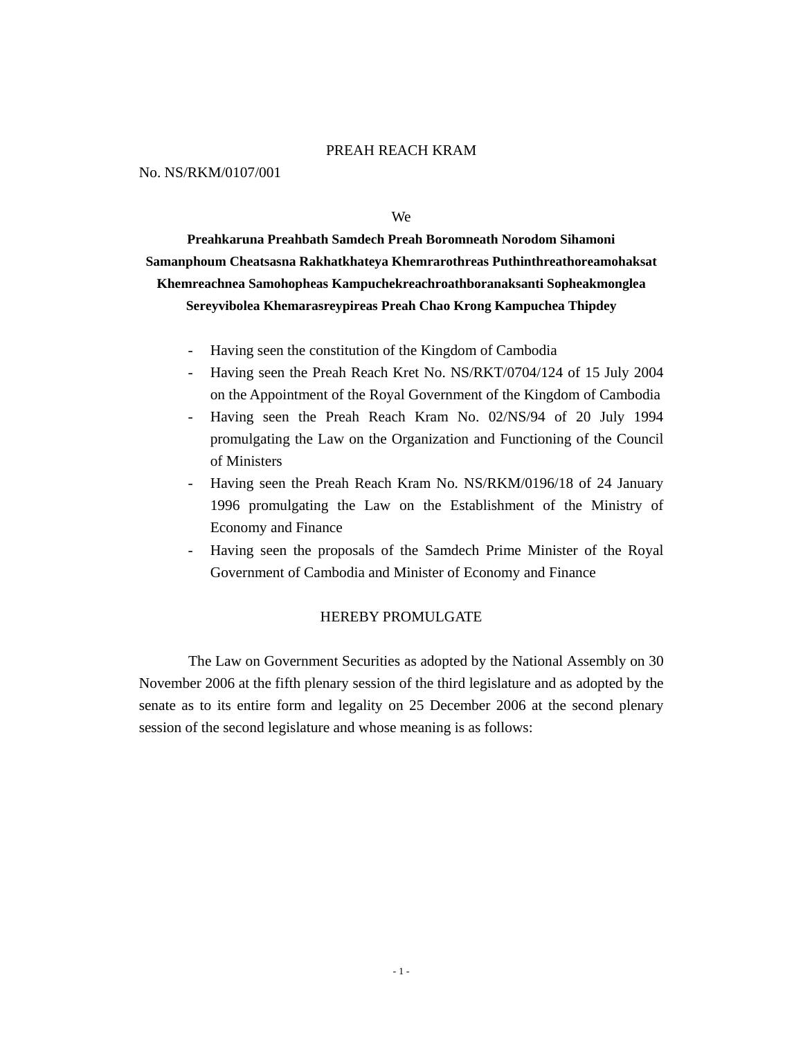#### PREAH REACH KRAM

No. NS/RKM/0107/001

We

**Preahkaruna Preahbath Samdech Preah Boromneath Norodom Sihamoni Samanphoum Cheatsasna Rakhatkhateya Khemrarothreas Puthinthreathoreamohaksat Khemreachnea Samohopheas Kampuchekreachroathboranaksanti Sopheakmonglea Sereyvibolea Khemarasreypireas Preah Chao Krong Kampuchea Thipdey** 

- Having seen the constitution of the Kingdom of Cambodia
- Having seen the Preah Reach Kret No. NS/RKT/0704/124 of 15 July 2004 on the Appointment of the Royal Government of the Kingdom of Cambodia
- Having seen the Preah Reach Kram No. 02/NS/94 of 20 July 1994 promulgating the Law on the Organization and Functioning of the Council of Ministers
- Having seen the Preah Reach Kram No. NS/RKM/0196/18 of 24 January 1996 promulgating the Law on the Establishment of the Ministry of Economy and Finance
- Having seen the proposals of the Samdech Prime Minister of the Royal Government of Cambodia and Minister of Economy and Finance

#### HEREBY PROMULGATE

 The Law on Government Securities as adopted by the National Assembly on 30 November 2006 at the fifth plenary session of the third legislature and as adopted by the senate as to its entire form and legality on 25 December 2006 at the second plenary session of the second legislature and whose meaning is as follows: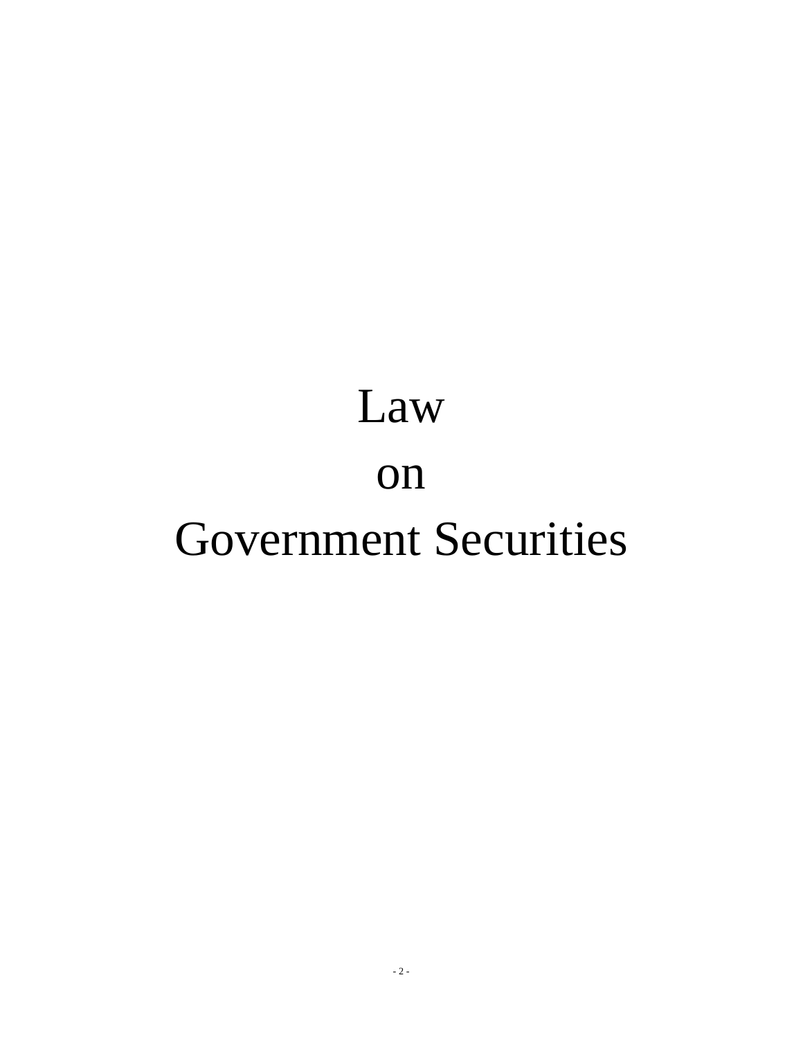# Law on Government Securities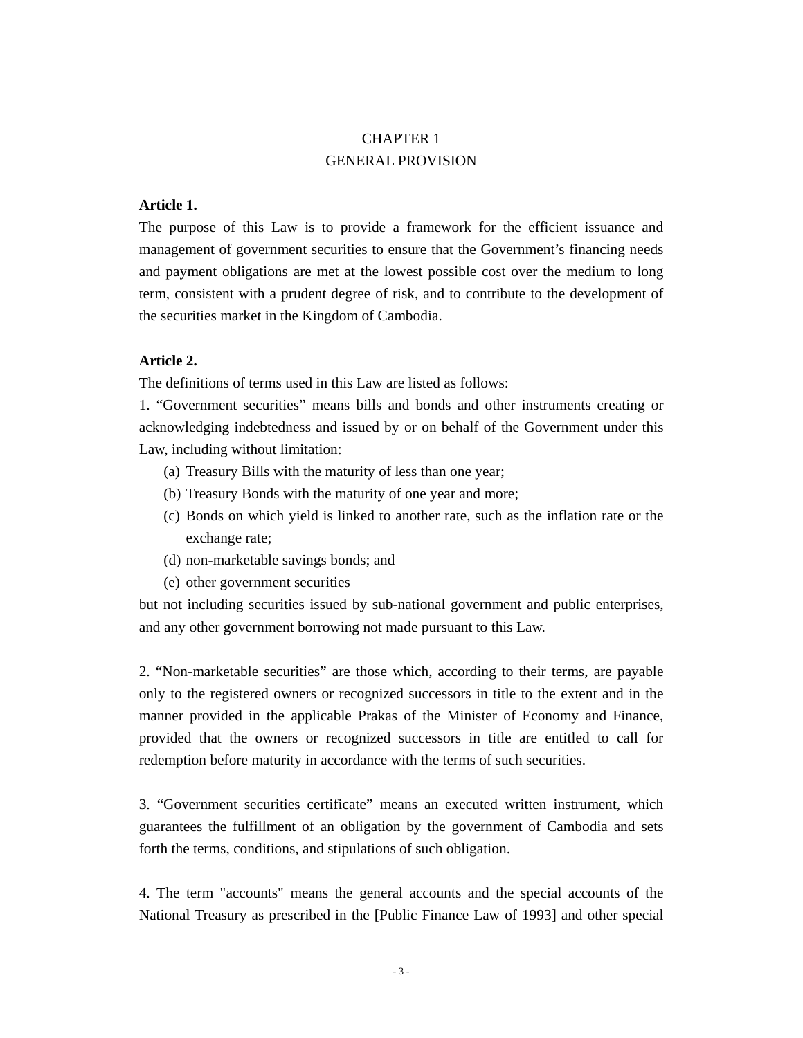# CHAPTER 1 GENERAL PROVISION

# **Article 1.**

The purpose of this Law is to provide a framework for the efficient issuance and management of government securities to ensure that the Government's financing needs and payment obligations are met at the lowest possible cost over the medium to long term, consistent with a prudent degree of risk, and to contribute to the development of the securities market in the Kingdom of Cambodia.

#### **Article 2.**

The definitions of terms used in this Law are listed as follows:

1. "Government securities" means bills and bonds and other instruments creating or acknowledging indebtedness and issued by or on behalf of the Government under this Law, including without limitation:

- (a) Treasury Bills with the maturity of less than one year;
- (b) Treasury Bonds with the maturity of one year and more;
- (c) Bonds on which yield is linked to another rate, such as the inflation rate or the exchange rate;
- (d) non-marketable savings bonds; and
- (e) other government securities

but not including securities issued by sub-national government and public enterprises, and any other government borrowing not made pursuant to this Law.

2. "Non-marketable securities" are those which, according to their terms, are payable only to the registered owners or recognized successors in title to the extent and in the manner provided in the applicable Prakas of the Minister of Economy and Finance, provided that the owners or recognized successors in title are entitled to call for redemption before maturity in accordance with the terms of such securities.

3. "Government securities certificate" means an executed written instrument, which guarantees the fulfillment of an obligation by the government of Cambodia and sets forth the terms, conditions, and stipulations of such obligation.

4. The term "accounts" means the general accounts and the special accounts of the National Treasury as prescribed in the [Public Finance Law of 1993] and other special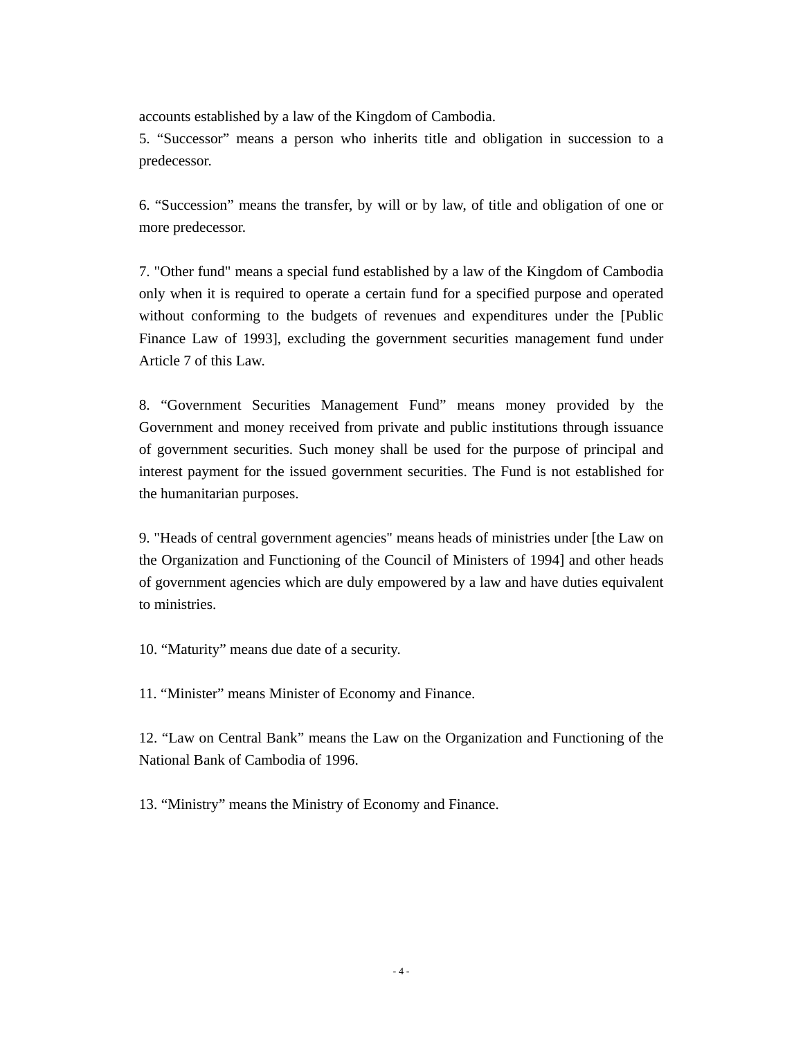accounts established by a law of the Kingdom of Cambodia.

5. "Successor" means a person who inherits title and obligation in succession to a predecessor.

6. "Succession" means the transfer, by will or by law, of title and obligation of one or more predecessor.

7. "Other fund" means a special fund established by a law of the Kingdom of Cambodia only when it is required to operate a certain fund for a specified purpose and operated without conforming to the budgets of revenues and expenditures under the [Public Finance Law of 1993], excluding the government securities management fund under Article 7 of this Law.

8. "Government Securities Management Fund" means money provided by the Government and money received from private and public institutions through issuance of government securities. Such money shall be used for the purpose of principal and interest payment for the issued government securities. The Fund is not established for the humanitarian purposes.

9. "Heads of central government agencies" means heads of ministries under [the Law on the Organization and Functioning of the Council of Ministers of 1994] and other heads of government agencies which are duly empowered by a law and have duties equivalent to ministries.

10. "Maturity" means due date of a security.

11. "Minister" means Minister of Economy and Finance.

12. "Law on Central Bank" means the Law on the Organization and Functioning of the National Bank of Cambodia of 1996.

13. "Ministry" means the Ministry of Economy and Finance.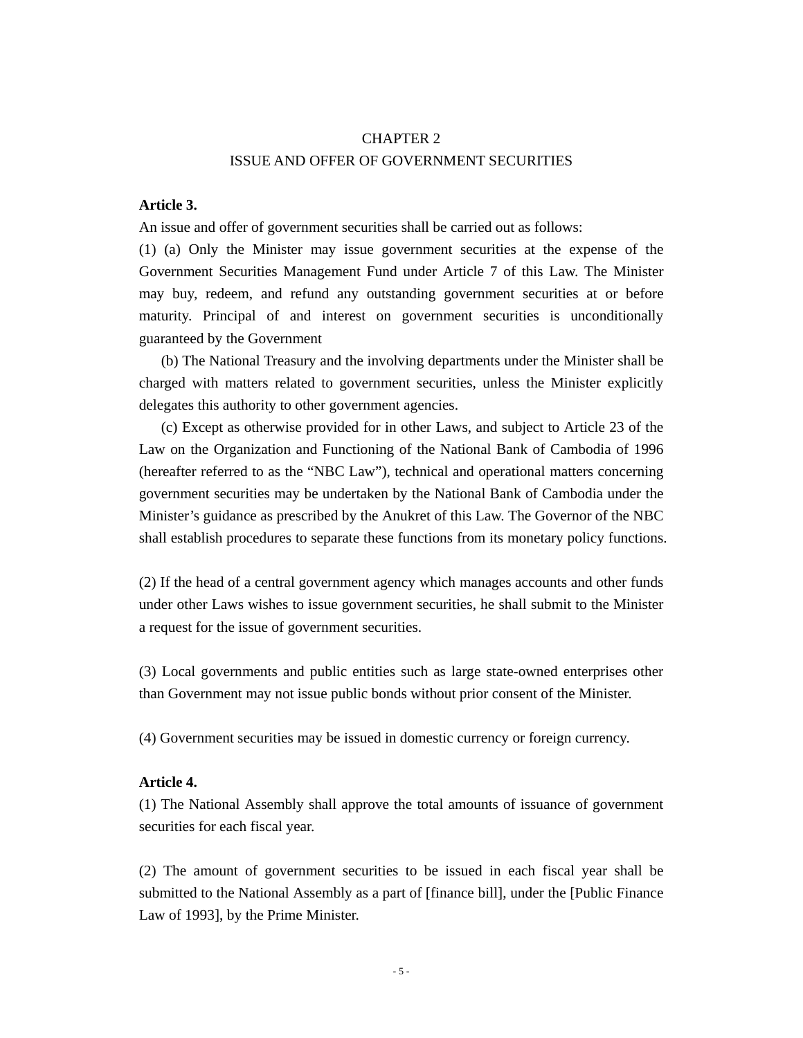#### CHAPTER 2

# ISSUE AND OFFER OF GOVERNMENT SECURITIES

## **Article 3.**

An issue and offer of government securities shall be carried out as follows:

(1) (a) Only the Minister may issue government securities at the expense of the Government Securities Management Fund under Article 7 of this Law. The Minister may buy, redeem, and refund any outstanding government securities at or before maturity. Principal of and interest on government securities is unconditionally guaranteed by the Government

 (b) The National Treasury and the involving departments under the Minister shall be charged with matters related to government securities, unless the Minister explicitly delegates this authority to other government agencies.

 (c) Except as otherwise provided for in other Laws, and subject to Article 23 of the Law on the Organization and Functioning of the National Bank of Cambodia of 1996 (hereafter referred to as the "NBC Law"), technical and operational matters concerning government securities may be undertaken by the National Bank of Cambodia under the Minister's guidance as prescribed by the Anukret of this Law. The Governor of the NBC shall establish procedures to separate these functions from its monetary policy functions.

(2) If the head of a central government agency which manages accounts and other funds under other Laws wishes to issue government securities, he shall submit to the Minister a request for the issue of government securities.

(3) Local governments and public entities such as large state-owned enterprises other than Government may not issue public bonds without prior consent of the Minister.

(4) Government securities may be issued in domestic currency or foreign currency.

#### **Article 4.**

(1) The National Assembly shall approve the total amounts of issuance of government securities for each fiscal year.

(2) The amount of government securities to be issued in each fiscal year shall be submitted to the National Assembly as a part of [finance bill], under the [Public Finance Law of 1993], by the Prime Minister.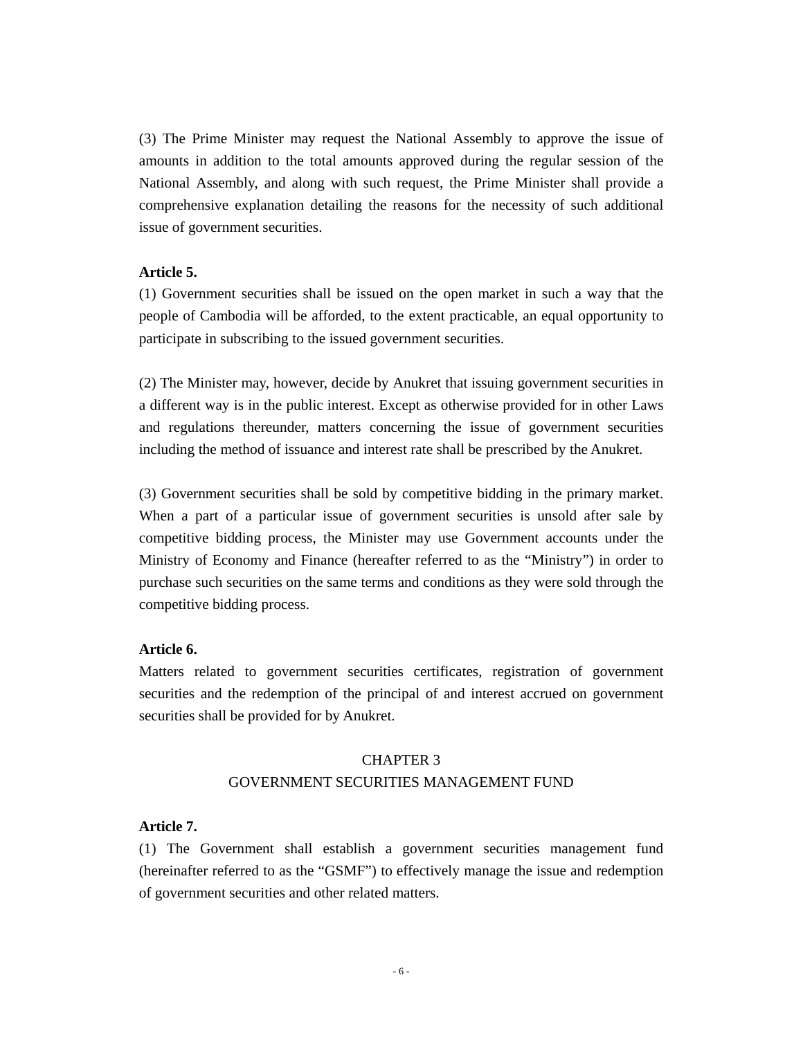(3) The Prime Minister may request the National Assembly to approve the issue of amounts in addition to the total amounts approved during the regular session of the National Assembly, and along with such request, the Prime Minister shall provide a comprehensive explanation detailing the reasons for the necessity of such additional issue of government securities.

#### **Article 5.**

(1) Government securities shall be issued on the open market in such a way that the people of Cambodia will be afforded, to the extent practicable, an equal opportunity to participate in subscribing to the issued government securities.

(2) The Minister may, however, decide by Anukret that issuing government securities in a different way is in the public interest. Except as otherwise provided for in other Laws and regulations thereunder, matters concerning the issue of government securities including the method of issuance and interest rate shall be prescribed by the Anukret.

(3) Government securities shall be sold by competitive bidding in the primary market. When a part of a particular issue of government securities is unsold after sale by competitive bidding process, the Minister may use Government accounts under the Ministry of Economy and Finance (hereafter referred to as the "Ministry") in order to purchase such securities on the same terms and conditions as they were sold through the competitive bidding process.

# **Article 6.**

Matters related to government securities certificates, registration of government securities and the redemption of the principal of and interest accrued on government securities shall be provided for by Anukret.

# CHAPTER 3 GOVERNMENT SECURITIES MANAGEMENT FUND

#### **Article 7.**

(1) The Government shall establish a government securities management fund (hereinafter referred to as the "GSMF") to effectively manage the issue and redemption of government securities and other related matters.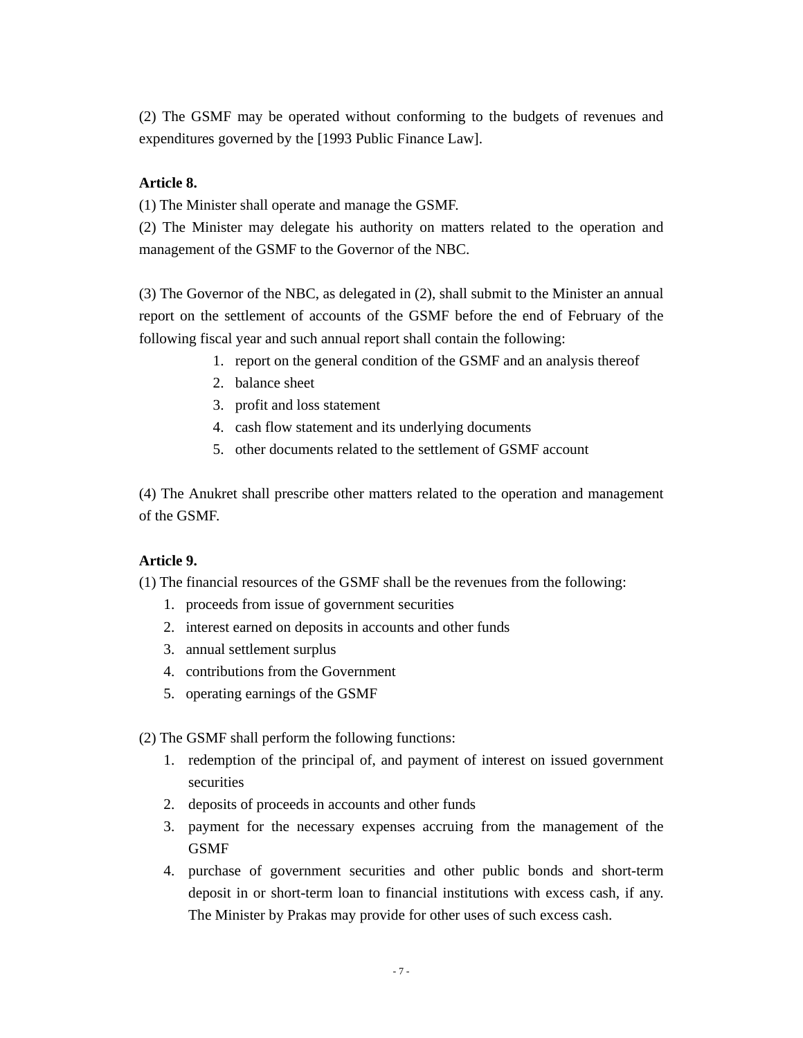(2) The GSMF may be operated without conforming to the budgets of revenues and expenditures governed by the [1993 Public Finance Law].

# **Article 8.**

(1) The Minister shall operate and manage the GSMF.

(2) The Minister may delegate his authority on matters related to the operation and management of the GSMF to the Governor of the NBC.

(3) The Governor of the NBC, as delegated in (2), shall submit to the Minister an annual report on the settlement of accounts of the GSMF before the end of February of the following fiscal year and such annual report shall contain the following:

- 1. report on the general condition of the GSMF and an analysis thereof
- 2. balance sheet
- 3. profit and loss statement
- 4. cash flow statement and its underlying documents
- 5. other documents related to the settlement of GSMF account

(4) The Anukret shall prescribe other matters related to the operation and management of the GSMF.

# **Article 9.**

(1) The financial resources of the GSMF shall be the revenues from the following:

- 1. proceeds from issue of government securities
- 2. interest earned on deposits in accounts and other funds
- 3. annual settlement surplus
- 4. contributions from the Government
- 5. operating earnings of the GSMF

(2) The GSMF shall perform the following functions:

- 1. redemption of the principal of, and payment of interest on issued government securities
- 2. deposits of proceeds in accounts and other funds
- 3. payment for the necessary expenses accruing from the management of the GSMF
- 4. purchase of government securities and other public bonds and short-term deposit in or short-term loan to financial institutions with excess cash, if any. The Minister by Prakas may provide for other uses of such excess cash.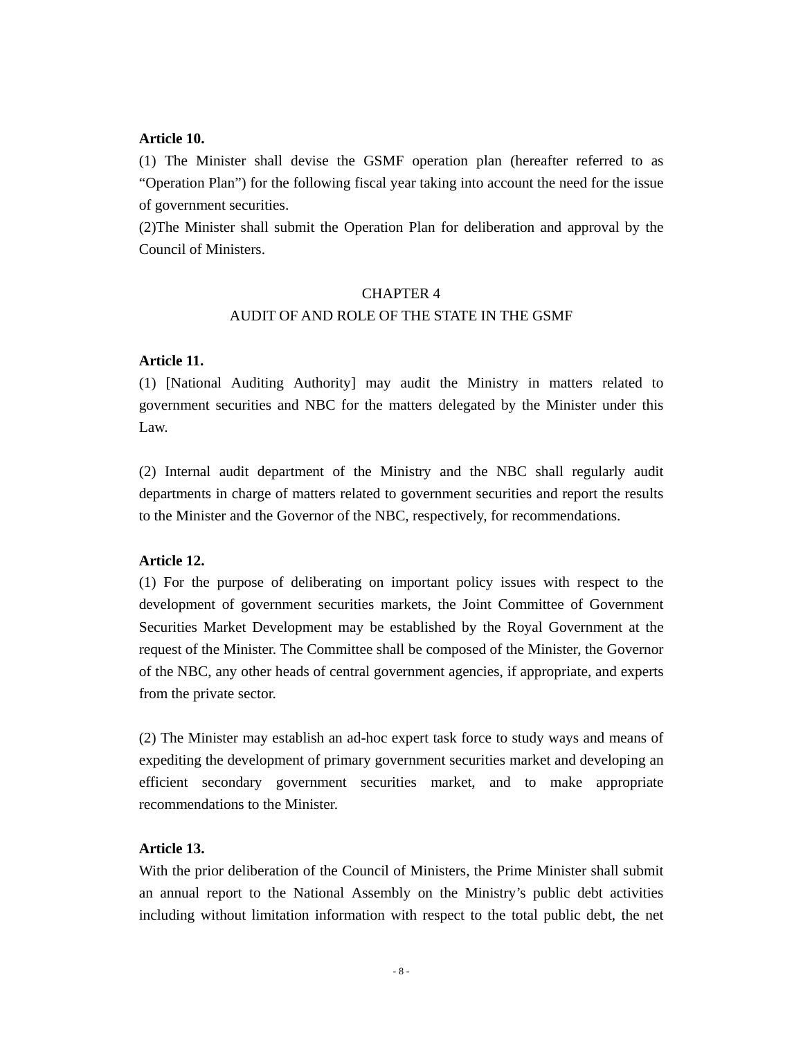#### **Article 10.**

(1) The Minister shall devise the GSMF operation plan (hereafter referred to as "Operation Plan") for the following fiscal year taking into account the need for the issue of government securities.

(2)The Minister shall submit the Operation Plan for deliberation and approval by the Council of Ministers.

## CHAPTER 4

## AUDIT OF AND ROLE OF THE STATE IN THE GSMF

#### **Article 11.**

(1) [National Auditing Authority] may audit the Ministry in matters related to government securities and NBC for the matters delegated by the Minister under this Law.

(2) Internal audit department of the Ministry and the NBC shall regularly audit departments in charge of matters related to government securities and report the results to the Minister and the Governor of the NBC, respectively, for recommendations.

#### **Article 12.**

(1) For the purpose of deliberating on important policy issues with respect to the development of government securities markets, the Joint Committee of Government Securities Market Development may be established by the Royal Government at the request of the Minister. The Committee shall be composed of the Minister, the Governor of the NBC, any other heads of central government agencies, if appropriate, and experts from the private sector.

(2) The Minister may establish an ad-hoc expert task force to study ways and means of expediting the development of primary government securities market and developing an efficient secondary government securities market, and to make appropriate recommendations to the Minister.

## **Article 13.**

With the prior deliberation of the Council of Ministers, the Prime Minister shall submit an annual report to the National Assembly on the Ministry's public debt activities including without limitation information with respect to the total public debt, the net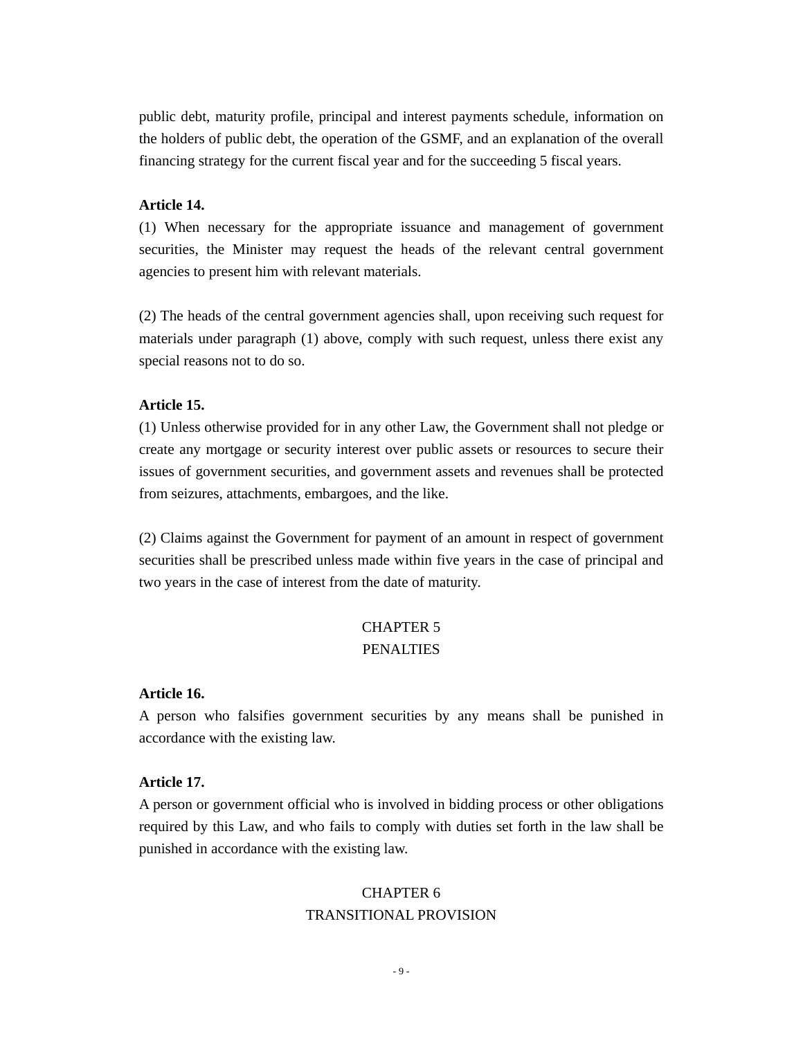public debt, maturity profile, principal and interest payments schedule, information on the holders of public debt, the operation of the GSMF, and an explanation of the overall financing strategy for the current fiscal year and for the succeeding 5 fiscal years.

#### **Article 14.**

(1) When necessary for the appropriate issuance and management of government securities, the Minister may request the heads of the relevant central government agencies to present him with relevant materials.

(2) The heads of the central government agencies shall, upon receiving such request for materials under paragraph (1) above, comply with such request, unless there exist any special reasons not to do so.

## **Article 15.**

(1) Unless otherwise provided for in any other Law, the Government shall not pledge or create any mortgage or security interest over public assets or resources to secure their issues of government securities, and government assets and revenues shall be protected from seizures, attachments, embargoes, and the like.

(2) Claims against the Government for payment of an amount in respect of government securities shall be prescribed unless made within five years in the case of principal and two years in the case of interest from the date of maturity.

# CHAPTER 5 PENALTIES

#### **Article 16.**

A person who falsifies government securities by any means shall be punished in accordance with the existing law.

#### **Article 17.**

A person or government official who is involved in bidding process or other obligations required by this Law, and who fails to comply with duties set forth in the law shall be punished in accordance with the existing law.

# CHAPTER 6 TRANSITIONAL PROVISION